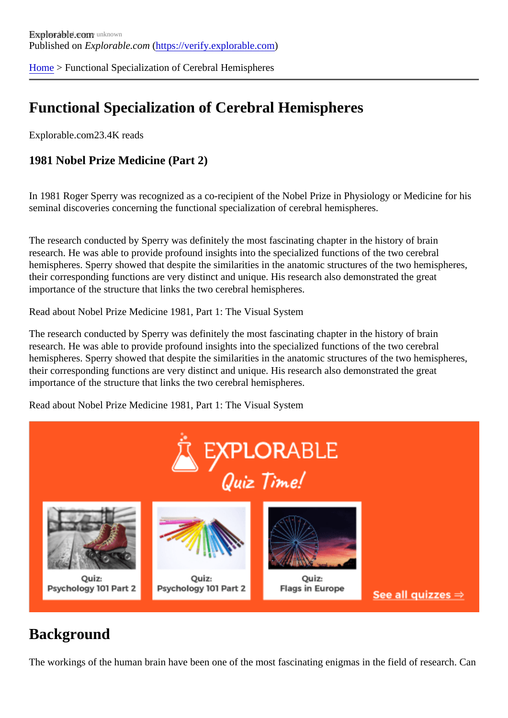[Home](https://verify.explorable.com/) > Functional Specialization of Cerebral Hemispheres

## Functional Specialization of Cerebral Hemispheres

Explorable.com23.4K reads

1981 Nobel Prize Medicine (Part 2)

In 1981 Roger Sperry was recognized as a co-recipient of the Nobel Prize in Physiology or Medicine for hi seminal discoveries concerning the functional specialization of cerebral hemispheres.

The research conducted by Sperry was definitely the most fascinating chapter in the history of brain research. He was able to provide profound insights into the specialized functions of the two cerebral hemispheres. Sperry showed that despite the similarities in the anatomic structures of the two hemisphere their corresponding functions are very distinct and unique. His research also demonstrated the great importance of the structure that links the two cerebral hemispheres.

Read about Nobel Prize Medicine 1981, Part 1: The Visual System

The research conducted by Sperry was definitely the most fascinating chapter in the history of brain research. He was able to provide profound insights into the specialized functions of the two cerebral hemispheres. Sperry showed that despite the similarities in the anatomic structures of the two hemisphere their corresponding functions are very distinct and unique. His research also demonstrated the great importance of the structure that links the two cerebral hemispheres.

Read about Nobel Prize Medicine 1981, Part 1: The Visual System

#### **Background**

The workings of the human brain have been one of the most fascinating enigmas in the field of research. Canno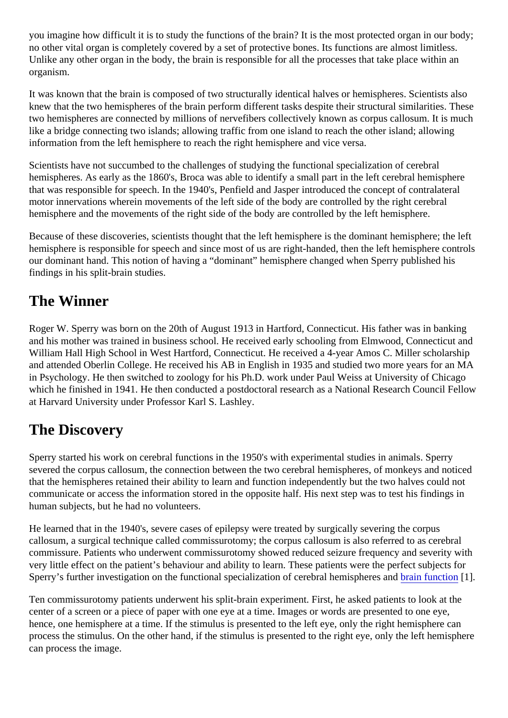you imagine how difficult it is to study the functions of the brain? It is the most protected organ in our body; no other vital organ is completely covered by a set of protective bones. Its functions are almost limitless. Unlike any other organ in the body, the brain is responsible for all the processes that take place within an organism.

It was known that the brain is composed of two structurally identical halves or hemispheres. Scientists also knew that the two hemispheres of the brain perform different tasks despite their structural similarities. The two hemispheres are connected by millions of nervefibers collectively known as corpus callosum. It is muc like a bridge connecting two islands; allowing traffic from one island to reach the other island; allowing information from the left hemisphere to reach the right hemisphere and vice versa.

Scientists have not succumbed to the challenges of studying the functional specialization of cerebral hemispheres. As early as the 1860's, Broca was able to identify a small part in the left cerebral hemispher that was responsible for speech. In the 1940's, Penfield and Jasper introduced the concept of contralateral motor innervations wherein movements of the left side of the body are controlled by the right cerebral hemisphere and the movements of the right side of the body are controlled by the left hemisphere.

Because of these discoveries, scientists thought that the left hemisphere is the dominant hemisphere; the hemisphere is responsible for speech and since most of us are right-handed, then the left hemisphere controls our dominant hand. This notion of having a "dominant" hemisphere changed when Sperry published his findings in his split-brain studies.

#### The Winner

Roger W. Sperry was born on the 20th of August 1913 in Hartford, Connecticut. His father was in banking and his mother was trained in business school. He received early schooling from Elmwood, Connecticut and William Hall High School in West Hartford, Connecticut. He received a 4-year Amos C. Miller scholarship and attended Oberlin College. He received his AB in English in 1935 and studied two more years for an M in Psychology. He then switched to zoology for his Ph.D. work under Paul Weiss at University of Chicago which he finished in 1941. He then conducted a postdoctoral research as a National Research Council Fe at Harvard University under Professor Karl S. Lashley.

# The Discovery

Sperry started his work on cerebral functions in the 1950's with experimental studies in animals. Sperry severed the corpus callosum, the connection between the two cerebral hemispheres, of monkeys and noti that the hemispheres retained their ability to learn and function independently but the two halves could not communicate or access the information stored in the opposite half. His next step was to test his findings in human subjects, but he had no volunteers.

He learned that in the 1940's, severe cases of epilepsy were treated by surgically severing the corpus callosum, a surgical technique called commissurotomy; the corpus callosum is also referred to as cerebral commissure. Patients who underwent commissurotomy showed reduced seizure frequency and severity w very little effect on the patient's behaviour and ability to learn. These patients were the perfect subjects for Sperry's further investigation on the functional specialization of cerebral hemispheres and inction [1].

Ten commissurotomy patients underwent his split-brain experiment. First, he asked patients to look at the center of a screen or a piece of paper with one eye at a time. Images or words are presented to one eye, hence, one hemisphere at a time. If the stimulus is presented to the left eye, only the right hemisphere can process the stimulus. On the other hand, if the stimulus is presented to the right eye, only the left hemisph can process the image.